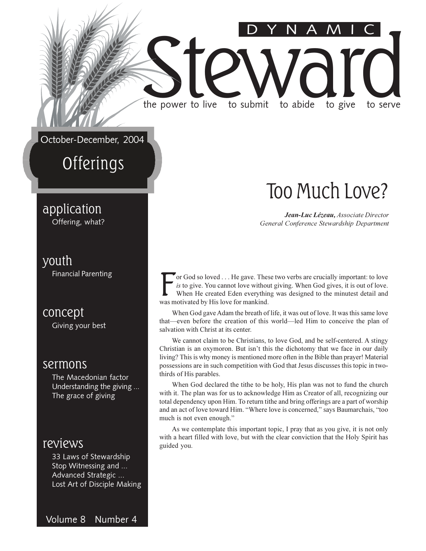October-December, 2004

the power to live

### Offerings

### application

Offering, what?

#### youth

**Financial Parenting** 

concept

Giving your best

#### sermons

The Macedonian factor Understanding the giving ... The grace of giving

#### reviews

33 Laws of Stewardship Stop Witnessing and ... Advanced Strategic ... Lost Art of Disciple Making

Volume 8 Number 4

### Too Much Love?

to give

to serve

Jean-Luc Lézeau, Associate Director General Conference Stewardship Department

or God so loved . . . He gave. These two verbs are crucially important: to love is to give. You cannot love without giving. When God gives, it is out of love. When He created Eden everything was designed to the minutest detail and was motivated by His love for mankind.

to submit

to abide

When God gave Adam the breath of life, it was out of love. It was this same love that—even before the creation of this world—led Him to conceive the plan of salvation with Christ at its center.

We cannot claim to be Christians, to love God, and be self-centered. A stingy Christian is an oxymoron. But isn't this the dichotomy that we face in our daily living? This is why money is mentioned more often in the Bible than prayer! Material possessions are in such competition with God that Jesus discusses this topic in twothirds of His parables.

When God declared the tithe to be holy, His plan was not to fund the church with it. The plan was for us to acknowledge Him as Creator of all, recognizing our total dependency upon Him. To return tithe and bring offerings are a part of worship and an act of love toward Him. "Where love is concerned," says Baumarchais, "too much is not even enough."

As we contemplate this important topic, I pray that as you give, it is not only with a heart filled with love, but with the clear conviction that the Holy Spirit has guided you.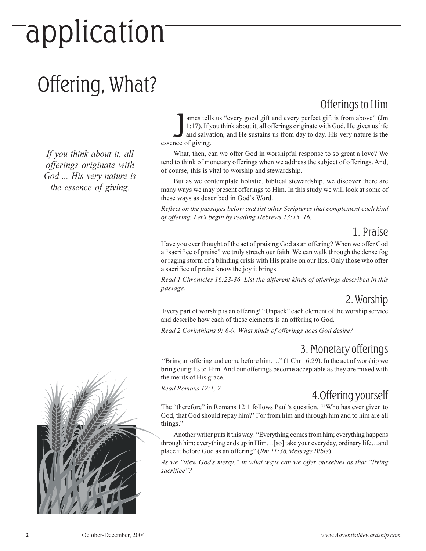# -application

### Offering, What?

If you think about it, all offerings originate with God ... His very nature is the essence of giving.



Offerings to Him ames tells us "every good gift and every perfect gift is from above" (Jm 1:17). If you think about it, all offerings originate with God. He gives us life and salvation, and He sustains us from day to day. His very nature is the essence of giving.

What, then, can we offer God in worshipful response to so great a love? We tend to think of monetary offerings when we address the subject of offerings. And, of course, this is vital to worship and stewardship.

But as we contemplate holistic, biblical stewardship, we discover there are many ways we may present offerings to Him. In this study we will look at some of these ways as described in God's Word.

Reflect on the passages below and list other Scriptures that complement each kind of offering. Let's begin by reading Hebrews 13:15, 16.

#### 1. Praise

Have you ever thought of the act of praising God as an offering? When we offer God a "sacrifice of praise" we truly stretch our faith. We can walk through the dense fog or raging storm of a blinding crisis with His praise on our lips. Only those who offer a sacrifice of praise know the joy it brings.

Read 1 Chronicles 16:23-36. List the different kinds of offerings described in this passage.

#### 2. Worship

Every part of worship is an offering! "Unpack" each element of the worship service and describe how each of these elements is an offering to God.

Read 2 Corinthians 9: 6-9. What kinds of offerings does God desire?

### 3. Monetary offerings

"Bring an offering and come before him...." (1 Chr 16:29). In the act of worship we bring our gifts to Him. And our offerings become acceptable as they are mixed with the merits of His grace.

Read Romans 12:1, 2.

### 4. Offering yourself

The "therefore" in Romans 12:1 follows Paul's question, "Who has ever given to God, that God should repay him?' For from him and through him and to him are all things."

Another writer puts it this way: "Everything comes from him; everything happens through him; everything ends up in Him... [so] take your everyday, ordinary life...and place it before God as an offering" (Rm 11:36, Message Bible).

As we "view God's mercy," in what ways can we offer ourselves as that "living sacrifice"?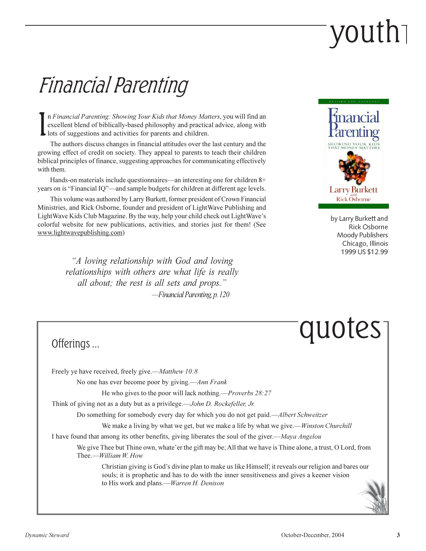# youth<sub>1</sub>

### Financial Parenting

n Financial Parenting: Showing Your Kids that Money Matters, you will find an excellent blend of biblically-based philosophy and practical advice, along with lots of suggestions and activities for parents and children.

The authors discuss changes in financial attitudes over the last century and the growing effect of credit on society. They appeal to parents to teach their children biblical principles of finance, suggesting approaches for communicating effectively with them.

Hands-on materials include questionnaires—an interesting one for children 8+ years on is "Financial IQ"—and sample budgets for children at different age levels.

This volume was authored by Larry Burkett, former president of Crown Financial Ministries, and Rick Osborne, founder and president of LightWave Publishing and LightWave Kids Club Magazine. By the way, help your child check out LightWave's colorful website for new publications, activities, and stories just for them! (See www.lightwavepublishing.com)

> "A loving relationship with God and loving relationships with others are what life is really all about; the rest is all sets and props." -Financial Parenting, p. 120



by Larry Burkett and **Rick Osborne Moody Publishers** Chicago, Illinois 1999 US \$12.99

### quotes

#### Offerings ...

Freely ye have received, freely give.—Matthew 10:8

No one has ever become poor by giving.—Ann Frank

He who gives to the poor will lack nothing.—*Proverbs* 28:27

Think of giving not as a duty but as a privilege.—*John D. Rockefeller, Jr.* 

Do something for somebody every day for which you do not get paid.—Albert Schweitzer

We make a living by what we get, but we make a life by what we give.—*Winston Churchill* 

I have found that among its other benefits, giving liberates the soul of the giver.—Maya Angelou

We give Thee but Thine own, whate'er the gift may be; All that we have is Thine alone, a trust, O Lord, from Thee.—William W. How

Christian giving is God's divine plan to make us like Himself; it reveals our religion and bares our souls; it is prophetic and has to do with the inner sensitiveness and gives a keener vision to His work and plans.—Warren H. Denison

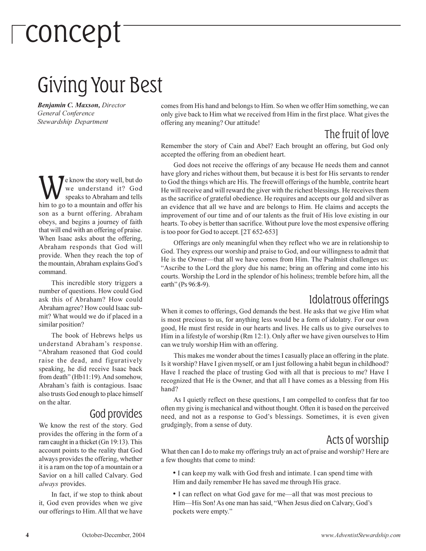# -concept

### Giving Your Best

Benjamin C. Maxson, Director General Conference Stewardship Department

e know the story well, but do we understand it? God speaks to Abraham and tells him to go to a mountain and offer his son as a burnt offering. Abraham obeys, and begins a journey of faith that will end with an offering of praise. When Isaac asks about the offering, Abraham responds that God will provide. When they reach the top of the mountain, Abraham explains God's command.

This incredible story triggers a number of questions. How could God ask this of Abraham? How could Abraham agree? How could Isaac submit? What would we do if placed in a similar position?

The book of Hebrews helps us understand Abraham's response. "Abraham reasoned that God could raise the dead, and figuratively speaking, he did receive Isaac back from death" (Hb11:19). And somehow, Abraham's faith is contagious. Isaac also trusts God enough to place himself on the altar.

#### God provides

We know the rest of the story. God provides the offering in the form of a ram caught in a thicket (Gn 19:13). This account points to the reality that God always provides the offering, whether it is a ram on the top of a mountain or a Savior on a hill called Calvary. God *always* provides.

In fact, if we stop to think about it. God even provides when we give our offerings to Him. All that we have comes from His hand and belongs to Him. So when we offer Him something, we can only give back to Him what we received from Him in the first place. What gives the offering any meaning? Our attitude!

### The fruit of love

Remember the story of Cain and Abel? Each brought an offering, but God only accepted the offering from an obedient heart.

God does not receive the offerings of any because He needs them and cannot have glory and riches without them, but because it is best for His servants to render to God the things which are His. The freewill offerings of the humble, contrite heart He will receive and will reward the giver with the richest blessings. He receives them as the sacrifice of grateful obedience. He requires and accepts our gold and silver as an evidence that all we have and are belongs to Him. He claims and accepts the improvement of our time and of our talents as the fruit of His love existing in our hearts. To obey is better than sacrifice. Without pure love the most expensive offering is too poor for God to accept. [2T 652-653]

Offerings are only meaningful when they reflect who we are in relationship to God. They express our worship and praise to God, and our willingness to admit that He is the Owner—that all we have comes from Him. The Psalmist challenges us: "Ascribe to the Lord the glory due his name; bring an offering and come into his courts. Worship the Lord in the splendor of his holiness; tremble before him, all the earth" (Ps 96:8-9).

### Idolatrous offerings

When it comes to offerings, God demands the best. He asks that we give Him what is most precious to us, for anything less would be a form of idolatry. For our own good, He must first reside in our hearts and lives. He calls us to give ourselves to Him in a lifestyle of worship (Rm 12:1). Only after we have given ourselves to Him can we truly worship Him with an offering.

This makes me wonder about the times I casually place an offering in the plate. Is it worship? Have I given myself, or am I just following a habit begun in childhood? Have I reached the place of trusting God with all that is precious to me? Have I recognized that He is the Owner, and that all I have comes as a blessing from His hand?

As I quietly reflect on these questions, I am compelled to confess that far too often my giving is mechanical and without thought. Often it is based on the perceived need, and not as a response to God's blessings. Sometimes, it is even given grudgingly, from a sense of duty.

### Acts of worship

What then can I do to make my offerings truly an act of praise and worship? Here are a few thoughts that come to mind:

• I can keep my walk with God fresh and intimate. I can spend time with Him and daily remember He has saved me through His grace.

• I can reflect on what God gave for me—all that was most precious to Him—His Son! As one man has said, "When Jesus died on Calvary, God's pockets were empty."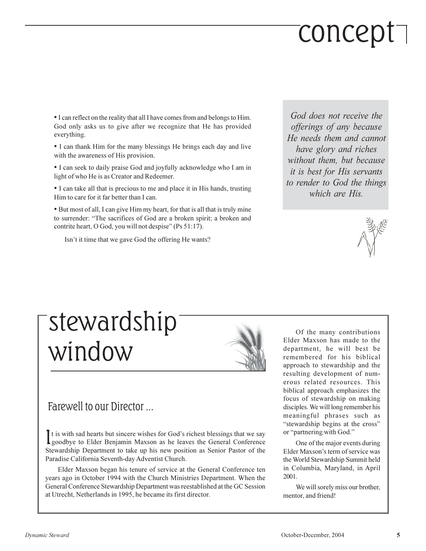# concept<sup>-</sup>

• I can reflect on the reality that all I have comes from and belongs to Him. God only asks us to give after we recognize that He has provided everything.

• I can thank Him for the many blessings He brings each day and live with the awareness of His provision.

• I can seek to daily praise God and joyfully acknowledge who I am in light of who He is as Creator and Redeemer.

• I can take all that is precious to me and place it in His hands, trusting Him to care for it far better than I can.

• But most of all, I can give Him my heart, for that is all that is truly mine to surrender: "The sacrifices of God are a broken spirit; a broken and contrite heart, O God, you will not despise" (Ps 51:17).

Isn't it time that we gave God the offering He wants?

God does not receive the offerings of any because He needs them and cannot have glory and riches without them, but because *it is best for His servants* to render to God the things which are His.



### <sup>-</sup>stewardship window



#### Farewell to our Director ...

It is with sad hearts but sincere wishes for God's richest blessings that we say **L** goodbye to Elder Benjamin Maxson as he leaves the General Conference Stewardship Department to take up his new position as Senior Pastor of the Paradise California Seventh-day Adventist Church.

Elder Maxson began his tenure of service at the General Conference ten years ago in October 1994 with the Church Ministries Department. When the General Conference Stewardship Department was reestablished at the GC Session at Utrecht, Netherlands in 1995, he became its first director.

Of the many contributions Elder Maxson has made to the department, he will best be remembered for his biblical approach to stewardship and the resulting development of numerous related resources. This biblical approach emphasizes the focus of stewardship on making disciples. We will long remember his meaningful phrases such as "stewardship begins at the cross" or "partnering with God."

One of the major events during Elder Maxson's term of service was the World Stewardship Summit held in Columbia, Maryland, in April 2001.

We will sorely miss our brother, mentor, and friend!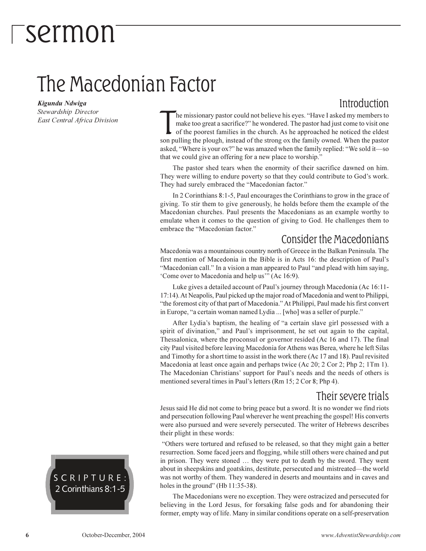### *Sermon*

### The Macedonian Factor

Kigundu Ndwiga Stewardship Director

East Central Africa Division

### Introduction

he missionary pastor could not believe his eyes. "Have I asked my members to make too great a sacrifice?" he wondered. The pastor had just come to visit one of the poorest families in the church. As he approached he noticed the eldest son pulling the plough, instead of the strong ox the family owned. When the pastor asked, "Where is your ox?" he was amazed when the family replied: "We sold it—so that we could give an offering for a new place to worship."

The pastor shed tears when the enormity of their sacrifice dawned on him. They were willing to endure poverty so that they could contribute to God's work. They had surely embraced the "Macedonian factor."

In 2 Corinthians 8:1-5, Paul encourages the Corinthians to grow in the grace of giving. To stir them to give generously, he holds before them the example of the Macedonian churches. Paul presents the Macedonians as an example worthy to emulate when it comes to the question of giving to God. He challenges them to embrace the "Macedonian factor."

#### **Consider the Macedonians**

Macedonia was a mountainous country north of Greece in the Balkan Peninsula. The first mention of Macedonia in the Bible is in Acts 16: the description of Paul's "Macedonian call." In a vision a man appeared to Paul "and plead with him saying, 'Come over to Macedonia and help us'" (Ac 16:9).

Luke gives a detailed account of Paul's journey through Macedonia (Ac 16:11-17:14). At Neapolis, Paul picked up the major road of Macedonia and went to Philippi, "the foremost city of that part of Macedonia." At Philippi, Paul made his first convert in Europe, "a certain woman named Lydia ... [who] was a seller of purple."

After Lydia's baptism, the healing of "a certain slave girl possessed with a spirit of divination," and Paul's imprisonment, he set out again to the capital, Thessalonica, where the proconsul or governor resided (Ac 16 and 17). The final city Paul visited before leaving Macedonia for Athens was Berea, where he left Silas and Timothy for a short time to assist in the work there (Ac 17 and 18). Paul revisited Macedonia at least once again and perhaps twice (Ac 20; 2 Cor 2; Php 2; 1Tm 1). The Macedonian Christians' support for Paul's needs and the needs of others is mentioned several times in Paul's letters (Rm 15; 2 Cor 8; Php 4).

#### Their severe trials

Jesus said He did not come to bring peace but a sword. It is no wonder we find riots and persecution following Paul wherever he went preaching the gospel! His converts were also pursued and were severely persecuted. The writer of Hebrews describes their plight in these words:

"Others were tortured and refused to be released, so that they might gain a better resurrection. Some faced jeers and flogging, while still others were chained and put in prison. They were stoned ... they were put to death by the sword. They went about in sheepskins and goatskins, destitute, persecuted and mistreated—the world was not worthy of them. They wandered in deserts and mountains and in caves and holes in the ground" (Hb 11:35-38).

The Macedonians were no exception. They were ostracized and persecuted for believing in the Lord Jesus, for forsaking false gods and for abandoning their former, empty way of life. Many in similar conditions operate on a self-preservation

#### SCRIPTURE: 2 Corinthians 8:1-5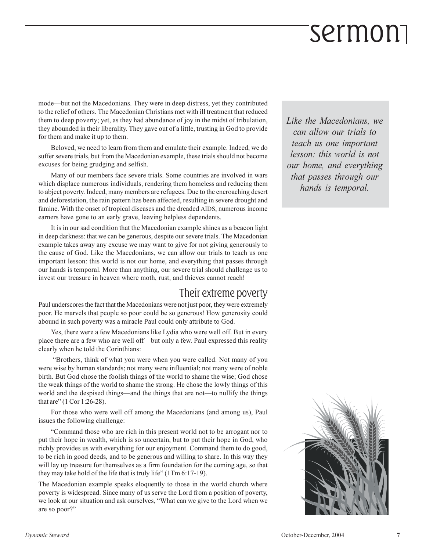mode—but not the Macedonians. They were in deep distress, yet they contributed to the relief of others. The Macedonian Christians met with ill treatment that reduced them to deep poverty; yet, as they had abundance of joy in the midst of tribulation, they abounded in their liberality. They gave out of a little, trusting in God to provide for them and make it up to them.

Beloved, we need to learn from them and emulate their example. Indeed, we do suffer severe trials, but from the Macedonian example, these trials should not become excuses for being grudging and selfish.

Many of our members face severe trials. Some countries are involved in wars which displace numerous individuals, rendering them homeless and reducing them to abject poverty. Indeed, many members are refugees. Due to the encroaching desert and deforestation, the rain pattern has been affected, resulting in severe drought and famine. With the onset of tropical diseases and the dreaded AIDS, numerous income earners have gone to an early grave, leaving helpless dependents.

It is in our sad condition that the Macedonian example shines as a beacon light in deep darkness: that we can be generous, despite our severe trials. The Macedonian example takes away any excuse we may want to give for not giving generously to the cause of God. Like the Macedonians, we can allow our trials to teach us one important lesson: this world is not our home, and everything that passes through our hands is temporal. More than anything, our severe trial should challenge us to invest our treasure in heaven where moth, rust, and thieves cannot reach!

### Their extreme poverty

Paul underscores the fact that the Macedonians were not just poor, they were extremely poor. He marvels that people so poor could be so generous! How generosity could abound in such poverty was a miracle Paul could only attribute to God.

Yes, there were a few Macedonians like Lydia who were well off. But in every place there are a few who are well off-but only a few. Paul expressed this reality clearly when he told the Corinthians:

"Brothers, think of what you were when you were called. Not many of you were wise by human standards; not many were influential; not many were of noble birth. But God chose the foolish things of the world to shame the wise; God chose the weak things of the world to shame the strong. He chose the lowly things of this world and the despised things—and the things that are not—to nullify the things that are" (1 Cor 1:26-28).

For those who were well off among the Macedonians (and among us), Paul issues the following challenge:

"Command those who are rich in this present world not to be arrogant nor to put their hope in wealth, which is so uncertain, but to put their hope in God, who richly provides us with everything for our enjoyment. Command them to do good, to be rich in good deeds, and to be generous and willing to share. In this way they will lay up treasure for themselves as a firm foundation for the coming age, so that they may take hold of the life that is truly life" (1Tm 6:17-19).

The Macedonian example speaks eloquently to those in the world church where poverty is widespread. Since many of us serve the Lord from a position of poverty, we look at our situation and ask ourselves, "What can we give to the Lord when we are so poor?"

Like the Macedonians, we can allow our trials to teach us one important lesson: this world is not our home, and everything that passes through our hands is temporal.

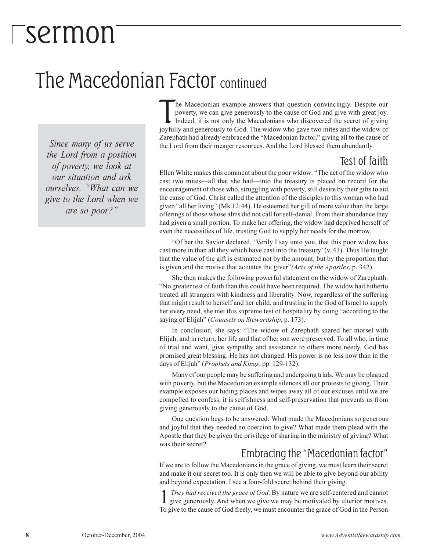### Sermon

### The Macedonian Factor continued

Since many of us serve the Lord from a position of poverty, we look at our situation and ask ourselves. "What can we give to the Lord when we are so poor?"

he Macedonian example answers that question convincingly. Despite our poverty, we can give generously to the cause of God and give with great joy. Indeed, it is not only the Macedonians who discovered the secret of giving joyfully and generously to God. The widow who gave two mites and the widow of Zarephath had already embraced the "Macedonian factor," giving all to the cause of the Lord from their meager resources. And the Lord blessed them abundantly.

### Test of faith

Ellen White makes this comment about the poor widow: "The act of the widow who cast two mites—all that she had—into the treasury is placed on record for the encouragement of those who, struggling with poverty, still desire by their gifts to aid the cause of God. Christ called the attention of the disciples to this woman who had given "all her living" (Mk 12:44). He esteemed her gift of more value than the large offerings of those whose alms did not call for self-denial. From their abundance they had given a small portion. To make her offering, the widow had deprived herself of even the necessities of life, trusting God to supply her needs for the morrow.

"Of her the Savior declared, 'Verily I say unto you, that this poor widow has cast more in than all they which have cast into the treasury' (v. 43). Thus He taught that the value of the gift is estimated not by the amount, but by the proportion that is given and the motive that actuates the giver" (Acts of the Apostles, p. 342).

She then makes the following powerful statement on the widow of Zarephath: "No greater test of faith than this could have been required. The widow had hitherto treated all strangers with kindness and liberality. Now, regardless of the suffering that might result to herself and her child, and trusting in the God of Israel to supply her every need, she met this supreme test of hospitality by doing "according to the saying of Elijah" (Counsels on Stewardship, p. 173).

In conclusion, she says: "The widow of Zarephath shared her morsel with Elijah, and in return, her life and that of her son were preserved. To all who, in time of trial and want, give sympathy and assistance to others more needy, God has promised great blessing. He has not changed. His power is no less now than in the days of Elijah" (Prophets and Kings, pp. 129-132).

Many of our people may be suffering and undergoing trials. We may be plagued with poverty, but the Macedonian example silences all our protests to giving. Their example exposes our hiding places and wipes away all of our excuses until we are compelled to confess, it is selfishness and self-preservation that prevents us from giving generously to the cause of God.

One question begs to be answered: What made the Macedonians so generous and joyful that they needed no coercion to give? What made them plead with the Apostle that they be given the privilege of sharing in the ministry of giving? What was their secret?

#### Embracing the "Macedonian factor"

If we are to follow the Macedonians in the grace of giving, we must learn their secret and make it our secret too. It is only then we will be able to give beyond our ability and beyond expectation. I see a four-fold secret behind their giving.

They had received the grace of God. By nature we are self-centered and cannot give generously. And when we give we may be motivated by ulterior motives. To give to the cause of God freely, we must encounter the grace of God in the Person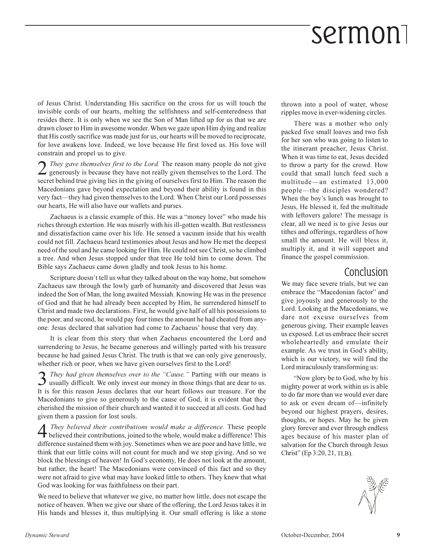of Jesus Christ. Understanding His sacrifice on the cross for us will touch the invisible cords of our hearts, melting the selfishness and self-centeredness that resides there. It is only when we see the Son of Man lifted up for us that we are drawn closer to Him in awesome wonder. When we gaze upon Him dying and realize that His costly sacrifice was made just for us, our hearts will be moved to reciprocate, for love awakens love. Indeed, we love because He first loved us. His love will constrain and propel us to give.

 $\sum$  They gave themselves first to the Lord. The reason many people do not give generously is because they have not really given themselves to the Lord. The secret behind true giving lies in the giving of ourselves first to Him. The reason the Macedonians gave beyond expectation and beyond their ability is found in this very fact—they had given themselves to the Lord. When Christ our Lord possesses our hearts, He will also have our wallets and purses.

Zachaeus is a classic example of this. He was a "money lover" who made his riches through extortion. He was miserly with his ill-gotten wealth. But restlessness and dissatisfaction came over his life. He sensed a vacuum inside that his wealth could not fill. Zachaeus heard testimonies about Jesus and how He met the deepest need of the soul and he came looking for Him. He could not see Christ, so he climbed a tree. And when Jesus stopped under that tree He told him to come down. The Bible says Zachaeus came down gladly and took Jesus to his home.

Scripture doesn't tell us what they talked about on the way home, but somehow Zachaeus saw through the lowly garb of humanity and discovered that Jesus was indeed the Son of Man, the long awaited Messiah. Knowing He was in the presence of God and that he had already been accepted by Him, he surrendered himself to Christ and made two declarations. First, he would give half of all his possessions to the poor, and second, he would pay four times the amount he had cheated from anyone. Jesus declared that salvation had come to Zachaeus' house that very day.

It is clear from this story that when Zachaeus encountered the Lord and surrendering to Jesus, he became generous and willingly parted with his treasure because he had gained Jesus Christ. The truth is that we can only give generously, whether rich or poor, when we have given ourselves first to the Lord!

They had given themselves over to the "Cause." Parting with our means is **3** *They had given themselves over to the "Cause."* Parting with our means is usually difficult. We only invest our money in those things that are dear to us. It is for this reason Jesus declares that our heart follows our treasure. For the Macedonians to give so generously to the cause of God, it is evident that they cherished the mission of their church and wanted it to succeed at all costs. God had given them a passion for lost souls.

They believed their contributions would make a difference. These people They believed their contributions, joined to the whole, would make a difference! This difference sustained them with joy. Sometimes when we are poor and have little, we think that our little coins will not count for much and we stop giving. And so we block the blessings of heaven! In God's economy, He does not look at the amount, but rather, the heart! The Macedonians were convinced of this fact and so they were not afraid to give what may have looked little to others. They knew that what God was looking for was faithfulness on their part.

We need to believe that whatever we give, no matter how little, does not escape the notice of heaven. When we give our share of the offering, the Lord Jesus takes it in His hands and blesses it, thus multiplying it. Our small offering is like a stone thrown into a pool of water, whose ripples move in ever-widening circles.

There was a mother who only packed five small loaves and two fish for her son who was going to listen to the itinerant preacher, Jesus Christ. When it was time to eat, Jesus decided to throw a party for the crowd. How could that small lunch feed such a multitude-an estimated 13,000 people-the disciples wondered? When the boy's lunch was brought to Jesus, He blessed it, fed the multitude with leftovers galore! The message is clear, all we need is to give Jesus our tithes and offerings, regardless of how small the amount. He will bless it, multiply it, and it will support and finance the gospel commission.

#### Conclusion

We may face severe trials, but we can embrace the "Macedonian factor" and give joyously and generously to the Lord. Looking at the Macedonians, we dare not excuse ourselves from generous giving. Their example leaves us exposed. Let us embrace their secret wholeheartedly and emulate their example. As we trust in God's ability, which is our victory, we will find the Lord miraculously transforming us:

"Now glory be to God, who by his mighty power at work within us is able to do far more than we would ever dare to ask or even dream of-infinitely beyond our highest prayers, desires, thoughts, or hopes. May he be given glory forever and ever through endless ages because of his master plan of salvation for the Church through Jesus Christ" (Ep 3:20, 21, TLB).

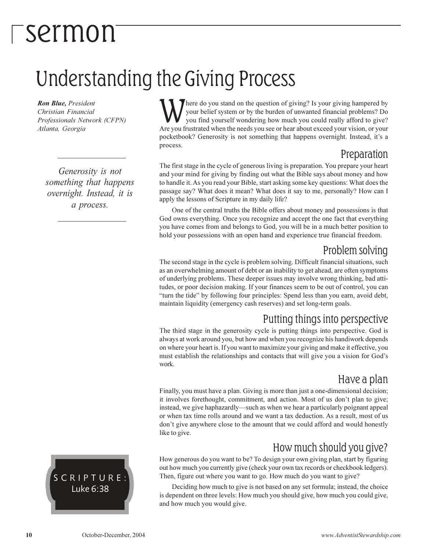### <sup>-</sup>sermon

### **Understanding the Giving Process**

Ron Blue, President Christian Financial Professionals Network (CFPN) Atlanta, Georgia

Generosity is not something that happens overnight. Instead, it is a process.

here do you stand on the question of giving? Is your giving hampered by your belief system or by the burden of unwanted financial problems? Do you find yourself wondering how much you could really afford to give? Are you frustrated when the needs you see or hear about exceed your vision, or your pocketbook? Generosity is not something that happens overnight. Instead, it's a process.

#### Preparation

The first stage in the cycle of generous living is preparation. You prepare your heart and your mind for giving by finding out what the Bible says about money and how to handle it. As you read your Bible, start asking some key questions: What does the passage say? What does it mean? What does it say to me, personally? How can I apply the lessons of Scripture in my daily life?

One of the central truths the Bible offers about money and possessions is that God owns everything. Once you recognize and accept the one fact that everything you have comes from and belongs to God, you will be in a much better position to hold your possessions with an open hand and experience true financial freedom.

#### Problem solving

The second stage in the cycle is problem solving. Difficult financial situations, such as an overwhelming amount of debt or an inability to get ahead, are often symptoms of underlying problems. These deeper issues may involve wrong thinking, bad attitudes, or poor decision making. If your finances seem to be out of control, you can "turn the tide" by following four principles: Spend less than you earn, avoid debt, maintain liquidity (emergency cash reserves) and set long-term goals.

### Putting things into perspective

The third stage in the generosity cycle is putting things into perspective. God is always at work around you, but how and when you recognize his handiwork depends on where your heart is. If you want to maximize your giving and make it effective, you must establish the relationships and contacts that will give you a vision for God's work.

### Have a plan

Finally, you must have a plan. Giving is more than just a one-dimensional decision; it involves forethought, commitment, and action. Most of us don't plan to give; instead, we give haphazardly—such as when we hear a particularly poignant appeal or when tax time rolls around and we want a tax deduction. As a result, most of us don't give anywhere close to the amount that we could afford and would honestly like to give.

### How much should you give?

How generous do you want to be? To design your own giving plan, start by figuring out how much you currently give (check your own tax records or checkbook ledgers). Then, figure out where you want to go. How much do you want to give?

Deciding how much to give is not based on any set formula; instead, the choice is dependent on three levels: How much you should give, how much you could give, and how much you would give.

SCRIPTURE: Luke 6:38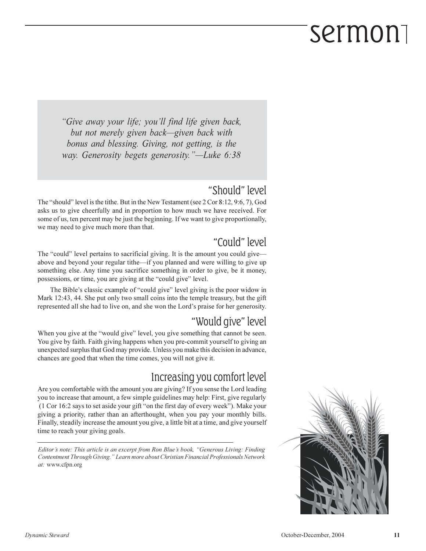"Give away your life; you'll find life given back, but not merely given back—given back with bonus and blessing. Giving, not getting, is the way. Generosity begets generosity."—Luke 6:38

### "Should" level

The "should" level is the tithe. But in the New Testament (see 2 Cor 8:12, 9:6, 7), God asks us to give cheerfully and in proportion to how much we have received. For some of us, ten percent may be just the beginning. If we want to give proportionally, we may need to give much more than that.

### "Could" level

The "could" level pertains to sacrificial giving. It is the amount you could giveabove and beyond your regular tithe—if you planned and were willing to give up something else. Any time you sacrifice something in order to give, be it money, possessions, or time, you are giving at the "could give" level.

The Bible's classic example of "could give" level giving is the poor widow in Mark 12:43, 44. She put only two small coins into the temple treasury, but the gift represented all she had to live on, and she won the Lord's praise for her generosity.

### "Would give" level

When you give at the "would give" level, you give something that cannot be seen. You give by faith. Faith giving happens when you pre-commit yourself to giving an unexpected surplus that God may provide. Unless you make this decision in advance, chances are good that when the time comes, you will not give it.

### Increasing you comfort level

Are you comfortable with the amount you are giving? If you sense the Lord leading you to increase that amount, a few simple guidelines may help: First, give regularly (1 Cor 16:2 says to set aside your gift "on the first day of every week"). Make your giving a priority, rather than an afterthought, when you pay your monthly bills. Finally, steadily increase the amount you give, a little bit at a time, and give yourself time to reach your giving goals.

Editor's note: This article is an excerpt from Ron Blue's book, "Generous Living: Finding Contentment Through Giving." Learn more about Christian Financial Professionals Network at: www.cfpn.org

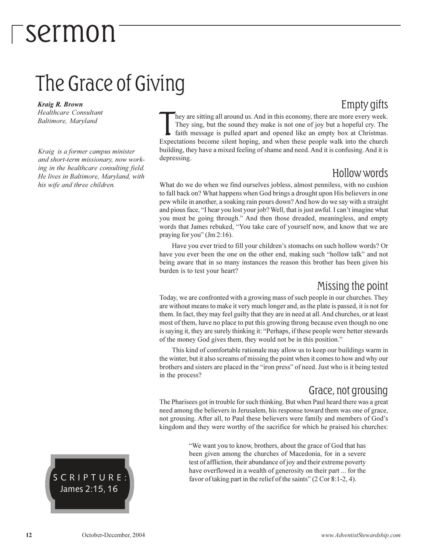### The Grace of Giving

**Kraig R. Brown Healthcare Consultant** Baltimore, Maryland

Kraig is a former campus minister and short-term missionary, now working in the healthcare consulting field. He lives in Baltimore, Maryland, with his wife and three children.

Empty gifts hey are sitting all around us. And in this economy, there are more every week. They sing, but the sound they make is not one of joy but a hopeful cry. The faith message is pulled apart and opened like an empty box at Christmas. Expectations become silent hoping, and when these people walk into the church building, they have a mixed feeling of shame and need. And it is confusing. And it is depressing.

#### Hollow words

What do we do when we find ourselves jobless, almost penniless, with no cushion to fall back on? What happens when God brings a drought upon His believers in one pew while in another, a soaking rain pours down? And how do we say with a straight and pious face, "I hear you lost your job? Well, that is just awful. I can't imagine what you must be going through." And then those dreaded, meaningless, and empty words that James rebuked, "You take care of yourself now, and know that we are praying for you" (Jm 2:16).

Have you ever tried to fill your children's stomachs on such hollow words? Or have you ever been the one on the other end, making such "hollow talk" and not being aware that in so many instances the reason this brother has been given his burden is to test your heart?

#### Missing the point

Today, we are confronted with a growing mass of such people in our churches. They are without means to make it very much longer and, as the plate is passed, it is not for them. In fact, they may feel guilty that they are in need at all. And churches, or at least most of them, have no place to put this growing throng because even though no one is saying it, they are surely thinking it: "Perhaps, if these people were better stewards of the money God gives them, they would not be in this position."

This kind of comfortable rationale may allow us to keep our buildings warm in the winter, but it also screams of missing the point when it comes to how and why our brothers and sisters are placed in the "iron press" of need. Just who is it being tested in the process?

#### Grace, not grousing

The Pharisees got in trouble for such thinking. But when Paul heard there was a great need among the believers in Jerusalem, his response toward them was one of grace, not grousing. After all, to Paul these believers were family and members of God's kingdom and they were worthy of the sacrifice for which he praised his churches:

> "We want you to know, brothers, about the grace of God that has been given among the churches of Macedonia, for in a severe test of affliction, their abundance of joy and their extreme poverty have overflowed in a wealth of generosity on their part ... for the favor of taking part in the relief of the saints" (2 Cor 8:1-2, 4).

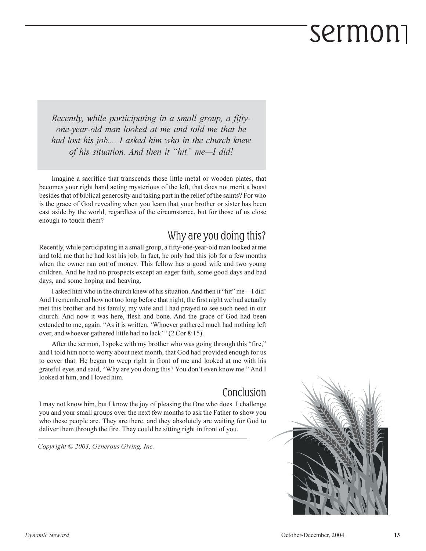Recently, while participating in a small group, a fiftyone-year-old man looked at me and told me that he had lost his job.... I asked him who in the church knew of his situation. And then it "hit" me-I did!

Imagine a sacrifice that transcends those little metal or wooden plates, that becomes your right hand acting mysterious of the left, that does not merit a boast besides that of biblical generosity and taking part in the relief of the saints? For who is the grace of God revealing when you learn that your brother or sister has been cast aside by the world, regardless of the circumstance, but for those of us close enough to touch them?

### Why are you doing this?

Recently, while participating in a small group, a fifty-one-year-old man looked at me and told me that he had lost his job. In fact, he only had this job for a few months when the owner ran out of money. This fellow has a good wife and two young children. And he had no prospects except an eager faith, some good days and bad days, and some hoping and heaving.

I asked him who in the church knew of his situation. And then it "hit" me—I did! And I remembered how not too long before that night, the first night we had actually met this brother and his family, my wife and I had prayed to see such need in our church. And now it was here, flesh and bone. And the grace of God had been extended to me, again. "As it is written, 'Whoever gathered much had nothing left over, and whoever gathered little had no lack" (2 Cor 8:15).

After the sermon, I spoke with my brother who was going through this "fire," and I told him not to worry about next month, that God had provided enough for us to cover that. He began to weep right in front of me and looked at me with his grateful eyes and said, "Why are you doing this? You don't even know me." And I looked at him, and I loved him.

### Conclusion

I may not know him, but I know the joy of pleasing the One who does. I challenge you and your small groups over the next few months to ask the Father to show you who these people are. They are there, and they absolutely are waiting for God to deliver them through the fire. They could be sitting right in front of you.

Copyright © 2003, Generous Giving, Inc.

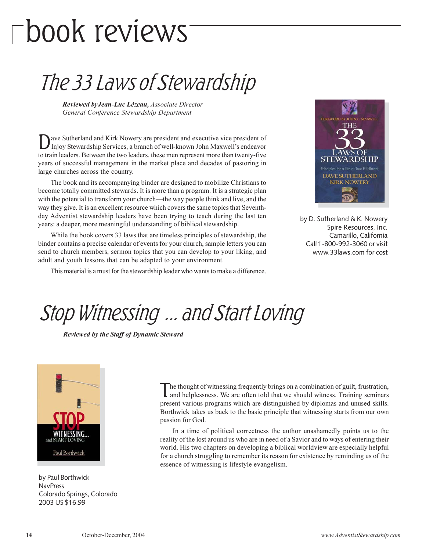# $\Box$ book reviews

### The 33 Laws of Stewardship

Reviewed by Jean-Luc Lézeau, Associate Director General Conference Stewardship Department

ave Sutherland and Kirk Nowery are president and executive vice president of Injoy Stewardship Services, a branch of well-known John Maxwell's endeavor to train leaders. Between the two leaders, these men represent more than twenty-five years of successful management in the market place and decades of pastoring in large churches across the country.

The book and its accompanying binder are designed to mobilize Christians to become totally committed stewards. It is more than a program. It is a strategic plan with the potential to transform your church—the way people think and live, and the way they give. It is an excellent resource which covers the same topics that Seventhday Adventist stewardship leaders have been trying to teach during the last ten years: a deeper, more meaningful understanding of biblical stewardship.

While the book covers 33 laws that are timeless principles of stewardship, the binder contains a precise calendar of events for your church, sample letters you can send to church members, sermon topics that you can develop to your liking, and adult and youth lessons that can be adapted to your environment.

This material is a must for the stewardship leader who wants to make a difference.



by D. Sutherland & K. Nowery Spire Resources, Inc. Camarillo, California Call 1-800-992-3060 or visit www.33laws.com for cost

Stop Witnessing ... and Start Loving

**Reviewed by the Staff of Dynamic Steward** 



by Paul Borthwick **NavPress** Colorado Springs, Colorado 2003 US \$16.99

he thought of witnessing frequently brings on a combination of guilt, frustration, and helplessness. We are often told that we should witness. Training seminars present various programs which are distinguished by diplomas and unused skills. Borthwick takes us back to the basic principle that witnessing starts from our own passion for God.

In a time of political correctness the author unashamedly points us to the reality of the lost around us who are in need of a Savior and to ways of entering their world. His two chapters on developing a biblical worldview are especially helpful for a church struggling to remember its reason for existence by reminding us of the essence of witnessing is lifestyle evangelism.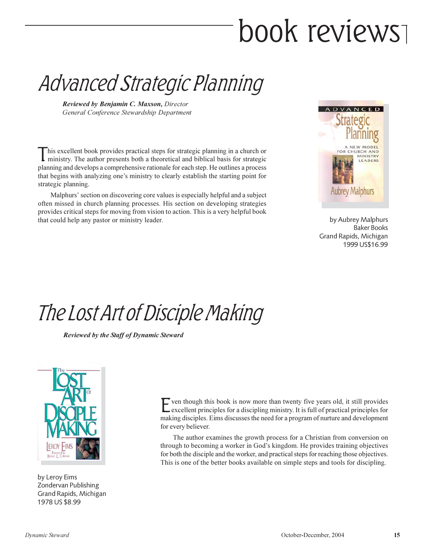# book reviews

Advanced Strategic Planning

Reviewed by Benjamin C. Maxson, Director General Conference Stewardship Department

his excellent book provides practical steps for strategic planning in a church or ministry. The author presents both a theoretical and biblical basis for strategic planning and develops a comprehensive rationale for each step. He outlines a process that begins with analyzing one's ministry to clearly establish the starting point for strategic planning.

Malphurs' section on discovering core values is especially helpful and a subject often missed in church planning processes. His section on developing strategies provides critical steps for moving from vision to action. This is a very helpful book that could help any pastor or ministry leader.



by Aubrey Malphurs **Baker Books** Grand Rapids, Michigan 1999 US\$16.99

### The Lost Art of Disciple Making

**Reviewed by the Staff of Dynamic Steward** 



by Leroy Eims Zondervan Publishing Grand Rapids, Michigan 1978 US \$8.99

 $\Gamma$  ven though this book is now more than twenty five years old, it still provides excellent principles for a discipling ministry. It is full of practical principles for making disciples. Eims discusses the need for a program of nurture and development for every believer.

The author examines the growth process for a Christian from conversion on through to becoming a worker in God's kingdom. He provides training objectives for both the disciple and the worker, and practical steps for reaching those objectives. This is one of the better books available on simple steps and tools for discipling.